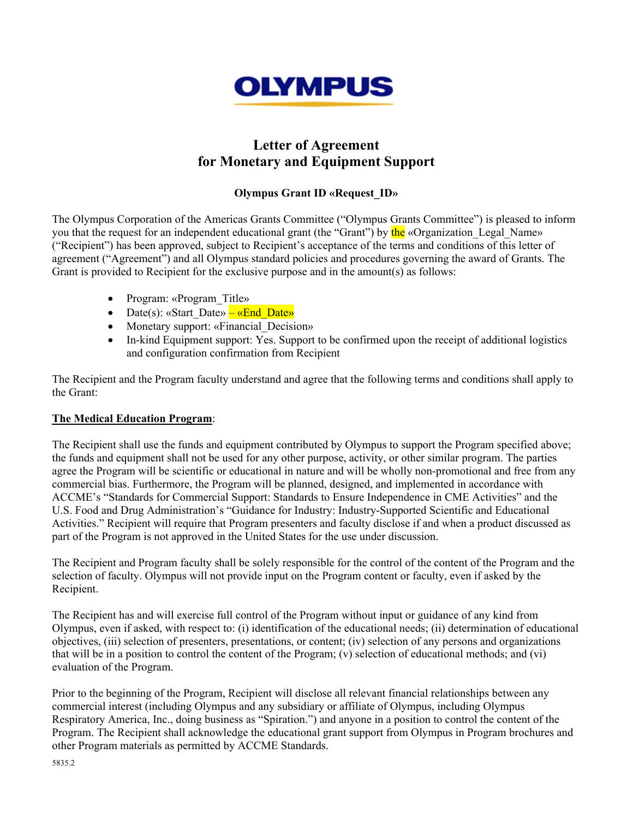

# **Letter of Agreement for Monetary and Equipment Support**

## **Olympus Grant ID «Request\_ID»**

The Olympus Corporation of the Americas Grants Committee ("Olympus Grants Committee") is pleased to inform you that the request for an independent educational grant (the "Grant") by the «Organization Legal Name» ("Recipient") has been approved, subject to Recipient's acceptance of the terms and conditions of this letter of agreement ("Agreement") and all Olympus standard policies and procedures governing the award of Grants. The Grant is provided to Recipient for the exclusive purpose and in the amount(s) as follows:

- Program: «Program Title»
- Date(s): «Start Date» «End Date»
- Monetary support: «Financial Decision»
- In-kind Equipment support: Yes. Support to be confirmed upon the receipt of additional logistics and configuration confirmation from Recipient

The Recipient and the Program faculty understand and agree that the following terms and conditions shall apply to the Grant:

### **The Medical Education Program**:

The Recipient shall use the funds and equipment contributed by Olympus to support the Program specified above; the funds and equipment shall not be used for any other purpose, activity, or other similar program. The parties agree the Program will be scientific or educational in nature and will be wholly non-promotional and free from any commercial bias. Furthermore, the Program will be planned, designed, and implemented in accordance with ACCME's "Standards for Commercial Support: Standards to Ensure Independence in CME Activities" and the U.S. Food and Drug Administration's "Guidance for Industry: Industry-Supported Scientific and Educational Activities." Recipient will require that Program presenters and faculty disclose if and when a product discussed as part of the Program is not approved in the United States for the use under discussion.

The Recipient and Program faculty shall be solely responsible for the control of the content of the Program and the selection of faculty. Olympus will not provide input on the Program content or faculty, even if asked by the Recipient.

The Recipient has and will exercise full control of the Program without input or guidance of any kind from Olympus, even if asked, with respect to: (i) identification of the educational needs; (ii) determination of educational objectives, (iii) selection of presenters, presentations, or content; (iv) selection of any persons and organizations that will be in a position to control the content of the Program; (v) selection of educational methods; and (vi) evaluation of the Program.

Prior to the beginning of the Program, Recipient will disclose all relevant financial relationships between any commercial interest (including Olympus and any subsidiary or affiliate of Olympus, including Olympus Respiratory America, Inc., doing business as "Spiration.") and anyone in a position to control the content of the Program. The Recipient shall acknowledge the educational grant support from Olympus in Program brochures and other Program materials as permitted by ACCME Standards.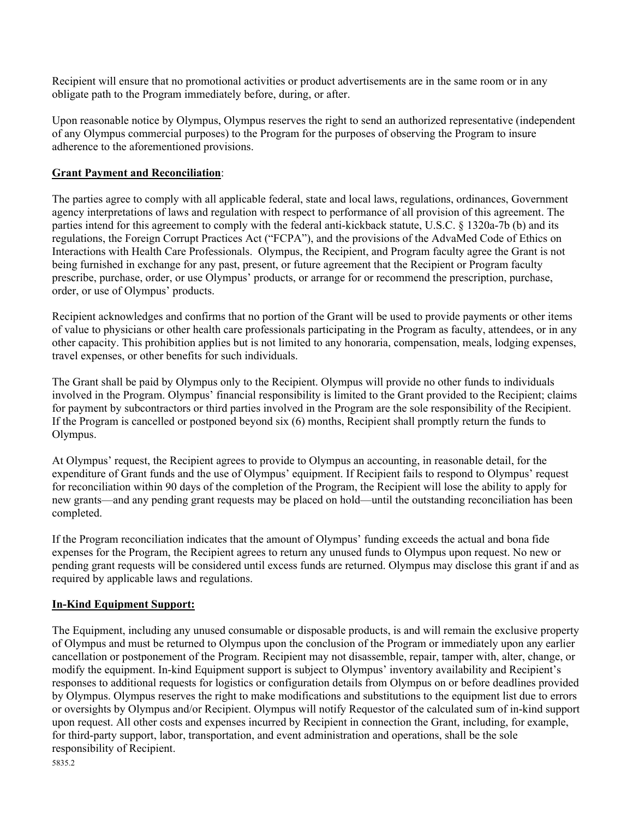Recipient will ensure that no promotional activities or product advertisements are in the same room or in any obligate path to the Program immediately before, during, or after.

Upon reasonable notice by Olympus, Olympus reserves the right to send an authorized representative (independent of any Olympus commercial purposes) to the Program for the purposes of observing the Program to insure adherence to the aforementioned provisions.

#### **Grant Payment and Reconciliation**:

The parties agree to comply with all applicable federal, state and local laws, regulations, ordinances, Government agency interpretations of laws and regulation with respect to performance of all provision of this agreement. The parties intend for this agreement to comply with the federal anti-kickback statute, U.S.C. § 1320a-7b (b) and its regulations, the Foreign Corrupt Practices Act ("FCPA"), and the provisions of the AdvaMed Code of Ethics on Interactions with Health Care Professionals. Olympus, the Recipient, and Program faculty agree the Grant is not being furnished in exchange for any past, present, or future agreement that the Recipient or Program faculty prescribe, purchase, order, or use Olympus' products, or arrange for or recommend the prescription, purchase, order, or use of Olympus' products.

Recipient acknowledges and confirms that no portion of the Grant will be used to provide payments or other items of value to physicians or other health care professionals participating in the Program as faculty, attendees, or in any other capacity. This prohibition applies but is not limited to any honoraria, compensation, meals, lodging expenses, travel expenses, or other benefits for such individuals.

The Grant shall be paid by Olympus only to the Recipient. Olympus will provide no other funds to individuals involved in the Program. Olympus' financial responsibility is limited to the Grant provided to the Recipient; claims for payment by subcontractors or third parties involved in the Program are the sole responsibility of the Recipient. If the Program is cancelled or postponed beyond six (6) months, Recipient shall promptly return the funds to Olympus.

At Olympus' request, the Recipient agrees to provide to Olympus an accounting, in reasonable detail, for the expenditure of Grant funds and the use of Olympus' equipment. If Recipient fails to respond to Olympus' request for reconciliation within 90 days of the completion of the Program, the Recipient will lose the ability to apply for new grants—and any pending grant requests may be placed on hold—until the outstanding reconciliation has been completed.

If the Program reconciliation indicates that the amount of Olympus' funding exceeds the actual and bona fide expenses for the Program, the Recipient agrees to return any unused funds to Olympus upon request. No new or pending grant requests will be considered until excess funds are returned. Olympus may disclose this grant if and as required by applicable laws and regulations.

### **In-Kind Equipment Support:**

5835.2 The Equipment, including any unused consumable or disposable products, is and will remain the exclusive property of Olympus and must be returned to Olympus upon the conclusion of the Program or immediately upon any earlier cancellation or postponement of the Program. Recipient may not disassemble, repair, tamper with, alter, change, or modify the equipment. In-kind Equipment support is subject to Olympus' inventory availability and Recipient's responses to additional requests for logistics or configuration details from Olympus on or before deadlines provided by Olympus. Olympus reserves the right to make modifications and substitutions to the equipment list due to errors or oversights by Olympus and/or Recipient. Olympus will notify Requestor of the calculated sum of in-kind support upon request. All other costs and expenses incurred by Recipient in connection the Grant, including, for example, for third-party support, labor, transportation, and event administration and operations, shall be the sole responsibility of Recipient.